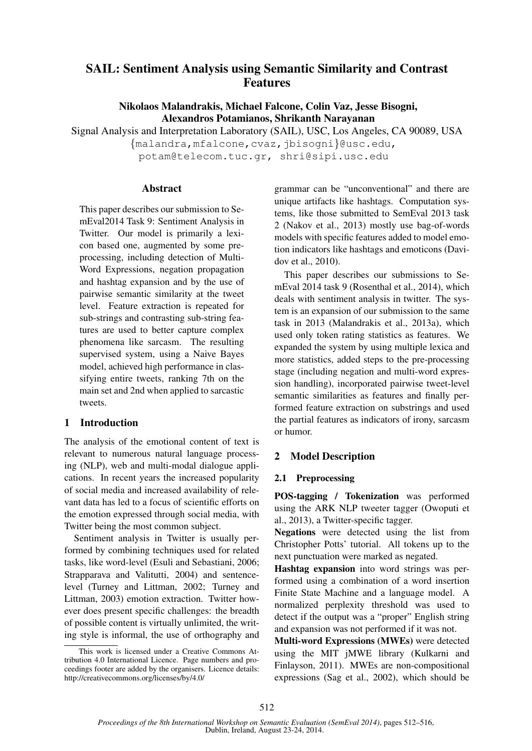# SAIL: Sentiment Analysis using Semantic Similarity and Contrast Features

Nikolaos Malandrakis, Michael Falcone, Colin Vaz, Jesse Bisogni, Alexandros Potamianos, Shrikanth Narayanan

Signal Analysis and Interpretation Laboratory (SAIL), USC, Los Angeles, CA 90089, USA

{malandra,mfalcone,cvaz,jbisogni}@usc.edu, potam@telecom.tuc.gr, shri@sipi.usc.edu

# **Abstract**

This paper describes our submission to SemEval2014 Task 9: Sentiment Analysis in Twitter. Our model is primarily a lexicon based one, augmented by some preprocessing, including detection of Multi-Word Expressions, negation propagation and hashtag expansion and by the use of pairwise semantic similarity at the tweet level. Feature extraction is repeated for sub-strings and contrasting sub-string features are used to better capture complex phenomena like sarcasm. The resulting supervised system, using a Naive Bayes model, achieved high performance in classifying entire tweets, ranking 7th on the main set and 2nd when applied to sarcastic tweets.

# 1 Introduction

The analysis of the emotional content of text is relevant to numerous natural language processing (NLP), web and multi-modal dialogue applications. In recent years the increased popularity of social media and increased availability of relevant data has led to a focus of scientific efforts on the emotion expressed through social media, with Twitter being the most common subject.

Sentiment analysis in Twitter is usually performed by combining techniques used for related tasks, like word-level (Esuli and Sebastiani, 2006; Strapparava and Valitutti, 2004) and sentencelevel (Turney and Littman, 2002; Turney and Littman, 2003) emotion extraction. Twitter however does present specific challenges: the breadth of possible content is virtually unlimited, the writing style is informal, the use of orthography and grammar can be "unconventional" and there are unique artifacts like hashtags. Computation systems, like those submitted to SemEval 2013 task 2 (Nakov et al., 2013) mostly use bag-of-words models with specific features added to model emotion indicators like hashtags and emoticons (Davidov et al., 2010).

This paper describes our submissions to SemEval 2014 task 9 (Rosenthal et al., 2014), which deals with sentiment analysis in twitter. The system is an expansion of our submission to the same task in 2013 (Malandrakis et al., 2013a), which used only token rating statistics as features. We expanded the system by using multiple lexica and more statistics, added steps to the pre-processing stage (including negation and multi-word expression handling), incorporated pairwise tweet-level semantic similarities as features and finally performed feature extraction on substrings and used the partial features as indicators of irony, sarcasm or humor.

# 2 Model Description

# 2.1 Preprocessing

POS-tagging / Tokenization was performed using the ARK NLP tweeter tagger (Owoputi et al., 2013), a Twitter-specific tagger.

Negations were detected using the list from Christopher Potts' tutorial. All tokens up to the next punctuation were marked as negated.

Hashtag expansion into word strings was performed using a combination of a word insertion Finite State Machine and a language model. A normalized perplexity threshold was used to detect if the output was a "proper" English string and expansion was not performed if it was not.

Multi-word Expressions (MWEs) were detected using the MIT jMWE library (Kulkarni and Finlayson, 2011). MWEs are non-compositional expressions (Sag et al., 2002), which should be

This work is licensed under a Creative Commons Attribution 4.0 International Licence. Page numbers and proceedings footer are added by the organisers. Licence details: http://creativecommons.org/licenses/by/4.0/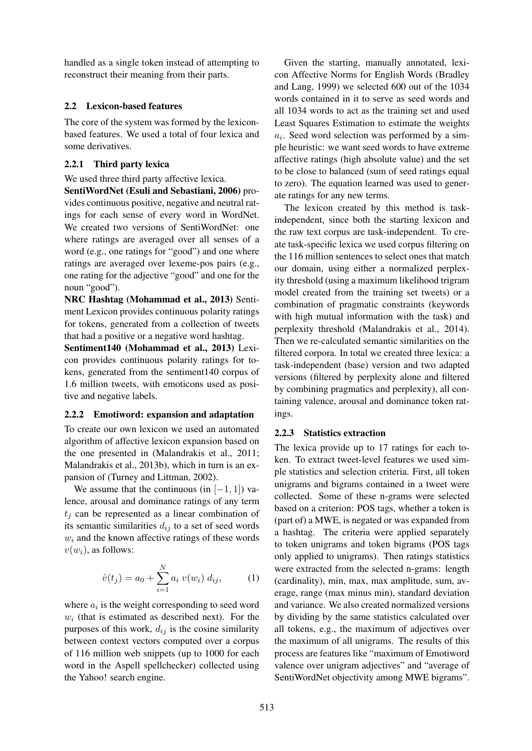handled as a single token instead of attempting to reconstruct their meaning from their parts.

### 2.2 Lexicon-based features

The core of the system was formed by the lexiconbased features. We used a total of four lexica and some derivatives.

### 2.2.1 Third party lexica

We used three third party affective lexica.

SentiWordNet (Esuli and Sebastiani, 2006) provides continuous positive, negative and neutral ratings for each sense of every word in WordNet. We created two versions of SentiWordNet: one where ratings are averaged over all senses of a word (e.g., one ratings for "good") and one where ratings are averaged over lexeme-pos pairs (e.g., one rating for the adjective "good" and one for the noun "good").

NRC Hashtag (Mohammad et al., 2013) Sentiment Lexicon provides continuous polarity ratings for tokens, generated from a collection of tweets that had a positive or a negative word hashtag.

Sentiment140 (Mohammad et al., 2013) Lexicon provides continuous polarity ratings for tokens, generated from the sentiment140 corpus of 1.6 million tweets, with emoticons used as positive and negative labels.

#### 2.2.2 Emotiword: expansion and adaptation

To create our own lexicon we used an automated algorithm of affective lexicon expansion based on the one presented in (Malandrakis et al., 2011; Malandrakis et al., 2013b), which in turn is an expansion of (Turney and Littman, 2002).

We assume that the continuous (in  $[-1, 1]$ ) valence, arousal and dominance ratings of any term  $t_i$  can be represented as a linear combination of its semantic similarities  $d_{ij}$  to a set of seed words  $w_i$  and the known affective ratings of these words  $v(w_i)$ , as follows:

$$
\hat{v}(t_j) = a_0 + \sum_{i=1}^{N} a_i \ v(w_i) \ d_{ij}, \tag{1}
$$

where  $a_i$  is the weight corresponding to seed word  $w_i$  (that is estimated as described next). For the purposes of this work,  $d_{ij}$  is the cosine similarity between context vectors computed over a corpus of 116 million web snippets (up to 1000 for each word in the Aspell spellchecker) collected using the Yahoo! search engine.

Given the starting, manually annotated, lexicon Affective Norms for English Words (Bradley and Lang, 1999) we selected 600 out of the 1034 words contained in it to serve as seed words and all 1034 words to act as the training set and used Least Squares Estimation to estimate the weights  $a_i$ . Seed word selection was performed by a simple heuristic: we want seed words to have extreme affective ratings (high absolute value) and the set to be close to balanced (sum of seed ratings equal to zero). The equation learned was used to generate ratings for any new terms.

The lexicon created by this method is taskindependent, since both the starting lexicon and the raw text corpus are task-independent. To create task-specific lexica we used corpus filtering on the 116 million sentences to select ones that match our domain, using either a normalized perplexity threshold (using a maximum likelihood trigram model created from the training set tweets) or a combination of pragmatic constraints (keywords with high mutual information with the task) and perplexity threshold (Malandrakis et al., 2014). Then we re-calculated semantic similarities on the filtered corpora. In total we created three lexica: a task-independent (base) version and two adapted versions (filtered by perplexity alone and filtered by combining pragmatics and perplexity), all containing valence, arousal and dominance token ratings.

#### 2.2.3 Statistics extraction

The lexica provide up to 17 ratings for each token. To extract tweet-level features we used simple statistics and selection criteria. First, all token unigrams and bigrams contained in a tweet were collected. Some of these n-grams were selected based on a criterion: POS tags, whether a token is (part of) a MWE, is negated or was expanded from a hashtag. The criteria were applied separately to token unigrams and token bigrams (POS tags only applied to unigrams). Then ratings statistics were extracted from the selected n-grams: length (cardinality), min, max, max amplitude, sum, average, range (max minus min), standard deviation and variance. We also created normalized versions by dividing by the same statistics calculated over all tokens, e.g., the maximum of adjectives over the maximum of all unigrams. The results of this process are features like "maximum of Emotiword valence over unigram adjectives" and "average of SentiWordNet objectivity among MWE bigrams".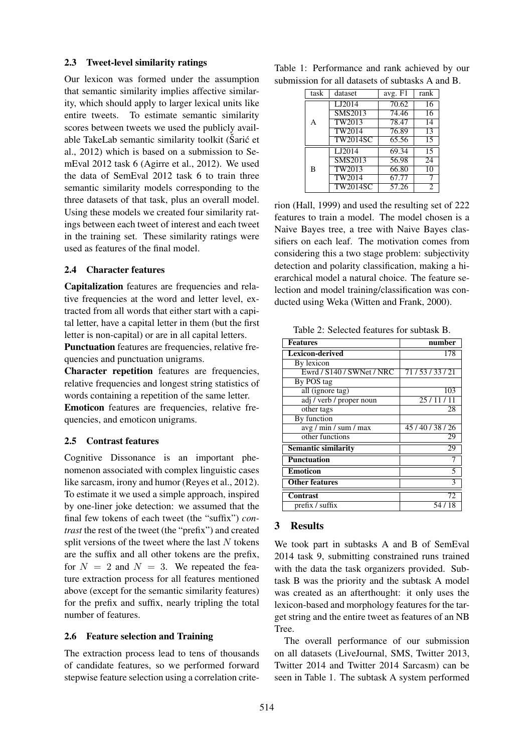#### 2.3 Tweet-level similarity ratings

Our lexicon was formed under the assumption that semantic similarity implies affective similarity, which should apply to larger lexical units like entire tweets. To estimate semantic similarity scores between tweets we used the publicly available TakeLab semantic similarity toolkit (Sarić et al., 2012) which is based on a submission to SemEval 2012 task 6 (Agirre et al., 2012). We used the data of SemEval 2012 task 6 to train three semantic similarity models corresponding to the three datasets of that task, plus an overall model. Using these models we created four similarity ratings between each tweet of interest and each tweet in the training set. These similarity ratings were used as features of the final model.

### 2.4 Character features

Capitalization features are frequencies and relative frequencies at the word and letter level, extracted from all words that either start with a capital letter, have a capital letter in them (but the first letter is non-capital) or are in all capital letters.

Punctuation features are frequencies, relative frequencies and punctuation unigrams.

Character repetition features are frequencies, relative frequencies and longest string statistics of words containing a repetition of the same letter. Emoticon features are frequencies, relative frequencies, and emoticon unigrams.

#### 2.5 Contrast features

Cognitive Dissonance is an important phenomenon associated with complex linguistic cases like sarcasm, irony and humor (Reyes et al., 2012). To estimate it we used a simple approach, inspired by one-liner joke detection: we assumed that the final few tokens of each tweet (the "suffix") *contrast* the rest of the tweet (the "prefix") and created split versions of the tweet where the last  $N$  tokens are the suffix and all other tokens are the prefix, for  $N = 2$  and  $N = 3$ . We repeated the feature extraction process for all features mentioned above (except for the semantic similarity features) for the prefix and suffix, nearly tripling the total number of features.

#### 2.6 Feature selection and Training

The extraction process lead to tens of thousands of candidate features, so we performed forward stepwise feature selection using a correlation crite-

|                                                  | Table 1: Performance and rank achieved by our |  |  |  |  |  |  |
|--------------------------------------------------|-----------------------------------------------|--|--|--|--|--|--|
| submission for all datasets of subtasks A and B. |                                               |  |  |  |  |  |  |

| task | dataset         | avg. F1        | rank            |
|------|-----------------|----------------|-----------------|
| A    | LJ2014          | $\sqrt{70.62}$ | $\overline{1}6$ |
|      | <b>SMS2013</b>  | 74.46          | 16              |
|      | TW2013          | 78.47          | ٦4              |
|      | TW2014          | 76.89          | 13              |
|      | <b>TW2014SC</b> | 65.56          | 15              |
| B    | LJ2014          | 69.34          | 15              |
|      | <b>SMS2013</b>  | 56.98          | $\overline{24}$ |
|      | TW2013          | 66.80          | 10              |
|      | TW2014          | 67.77          |                 |
|      | <b>TW2014SC</b> | 57.26          | 2               |

rion (Hall, 1999) and used the resulting set of 222 features to train a model. The model chosen is a Naive Bayes tree, a tree with Naive Bayes classifiers on each leaf. The motivation comes from considering this a two stage problem: subjectivity detection and polarity classification, making a hierarchical model a natural choice. The feature selection and model training/classification was conducted using Weka (Witten and Frank, 2000).

Table 2: Selected features for subtask B.

| Features                   | number                   |
|----------------------------|--------------------------|
| Lexicon-derived            | 178                      |
| By lexicon                 |                          |
| Ewrd / S140 / SWNet / NRC  | 71/53/33/21              |
| By POS tag                 |                          |
| all (ignore tag)           | 103                      |
| adj / verb / proper noun   | 25/11/11                 |
| other tags                 | 28                       |
| By function                |                          |
| avg / min / sum / max      | 45/40/38/26              |
| other functions            | 29                       |
| <b>Semantic similarity</b> | 29                       |
| <b>Punctuation</b>         |                          |
| <b>Emoticon</b>            | $\overline{\phantom{0}}$ |
| <b>Other features</b>      | 3                        |
| Contrast                   | 72                       |
| prefix / suffix            | 54/18                    |

## 3 Results

We took part in subtasks A and B of SemEval 2014 task 9, submitting constrained runs trained with the data the task organizers provided. Subtask B was the priority and the subtask A model was created as an afterthought: it only uses the lexicon-based and morphology features for the target string and the entire tweet as features of an NB Tree.

The overall performance of our submission on all datasets (LiveJournal, SMS, Twitter 2013, Twitter 2014 and Twitter 2014 Sarcasm) can be seen in Table 1. The subtask A system performed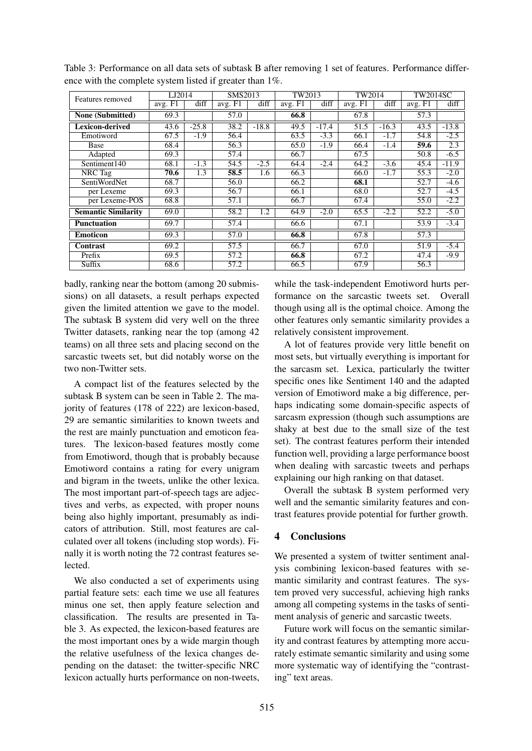| Features removed           | LJ2014  |         | SMS2013           |         | TW2013  |         | TW2014  |         | <b>TW2014SC</b> |                  |
|----------------------------|---------|---------|-------------------|---------|---------|---------|---------|---------|-----------------|------------------|
|                            | avg. F1 | diff    | avg. F1           | diff    | avg. F1 | diff    | avg. F1 | diff    | avg. F1         | diff             |
| None (Submitted)           | 69.3    |         | 57.0              |         | 66.8    |         | 67.8    |         | 57.3            |                  |
| <b>Lexicon-derived</b>     | 43.6    | $-25.8$ | 38.2              | $-18.8$ | 49.5    | $-17.4$ | 51.5    | $-16.3$ | 43.5            | $-13.8$          |
| Emotiword                  | 67.5    | $-1.9$  | 56.4              |         | 63.5    | $-3.3$  | 66.1    | $-1.7$  | 54.8            | $-2.5$           |
| Base                       | 68.4    |         | 56.3              |         | 65.0    | $-1.9$  | 66.4    | $-1.4$  | 59.6            | $\overline{2.3}$ |
| Adapted                    | 69.3    |         | 57.4              |         | 66.7    |         | 67.5    |         | 50.8            | $-6.5$           |
| Sentiment140               | 68.1    | $-1.3$  | 54.5              | $-2.5$  | 64.4    | $-2.4$  | 64.2    | $-3.6$  | 45.4            | $-11.9$          |
| NRC Tag                    | 70.6    | 1.3     | 58.5              | 1.6     | 66.3    |         | 66.0    | $-1.7$  | 55.3            | $-2.0$           |
| SentiWordNet               | 68.7    |         | 56.0              |         | 66.2    |         | 68.1    |         | 52.7            | $-4.6$           |
| per Lexeme                 | 69.3    |         | 56.7              |         | 66.1    |         | 68.0    |         | 52.7            | $-4.5$           |
| per Lexeme-POS             | 68.8    |         | 57.1              |         | 66.7    |         | 67.4    |         | 55.0            | $-2.2$           |
| <b>Semantic Similarity</b> | 69.0    |         | 58.2              | 1.2     | 64.9    | $-2.0$  | 65.5    | $-2.2$  | 52.2            | $-5.0$           |
| <b>Punctuation</b>         | 69.7    |         | 57.4              |         | 66.6    |         | 67.1    |         | 53.9            | $-3.4$           |
| <b>Emoticon</b>            | 69.3    |         | 57.0              |         | 66.8    |         | 67.8    |         | 57.3            |                  |
| Contrast                   | 69.2    |         | $\overline{57.5}$ |         | 66.7    |         | 67.0    |         | 51.9            | $-5.4$           |
| Prefix                     | 69.5    |         | 57.2              |         | 66.8    |         | 67.2    |         | 47.4            | $-9.9$           |
| Suffix                     | 68.6    |         | 57.2              |         | 66.5    |         | 67.9    |         | 56.3            |                  |

Table 3: Performance on all data sets of subtask B after removing 1 set of features. Performance difference with the complete system listed if greater than 1%.

badly, ranking near the bottom (among 20 submissions) on all datasets, a result perhaps expected given the limited attention we gave to the model. The subtask B system did very well on the three Twitter datasets, ranking near the top (among 42 teams) on all three sets and placing second on the sarcastic tweets set, but did notably worse on the two non-Twitter sets.

A compact list of the features selected by the subtask B system can be seen in Table 2. The majority of features (178 of 222) are lexicon-based, 29 are semantic similarities to known tweets and the rest are mainly punctuation and emoticon features. The lexicon-based features mostly come from Emotiword, though that is probably because Emotiword contains a rating for every unigram and bigram in the tweets, unlike the other lexica. The most important part-of-speech tags are adjectives and verbs, as expected, with proper nouns being also highly important, presumably as indicators of attribution. Still, most features are calculated over all tokens (including stop words). Finally it is worth noting the 72 contrast features selected.

We also conducted a set of experiments using partial feature sets: each time we use all features minus one set, then apply feature selection and classification. The results are presented in Table 3. As expected, the lexicon-based features are the most important ones by a wide margin though the relative usefulness of the lexica changes depending on the dataset: the twitter-specific NRC lexicon actually hurts performance on non-tweets,

while the task-independent Emotiword hurts performance on the sarcastic tweets set. Overall though using all is the optimal choice. Among the other features only semantic similarity provides a relatively consistent improvement.

A lot of features provide very little benefit on most sets, but virtually everything is important for the sarcasm set. Lexica, particularly the twitter specific ones like Sentiment 140 and the adapted version of Emotiword make a big difference, perhaps indicating some domain-specific aspects of sarcasm expression (though such assumptions are shaky at best due to the small size of the test set). The contrast features perform their intended function well, providing a large performance boost when dealing with sarcastic tweets and perhaps explaining our high ranking on that dataset.

Overall the subtask B system performed very well and the semantic similarity features and contrast features provide potential for further growth.

## 4 Conclusions

We presented a system of twitter sentiment analysis combining lexicon-based features with semantic similarity and contrast features. The system proved very successful, achieving high ranks among all competing systems in the tasks of sentiment analysis of generic and sarcastic tweets.

Future work will focus on the semantic similarity and contrast features by attempting more accurately estimate semantic similarity and using some more systematic way of identifying the "contrasting" text areas.